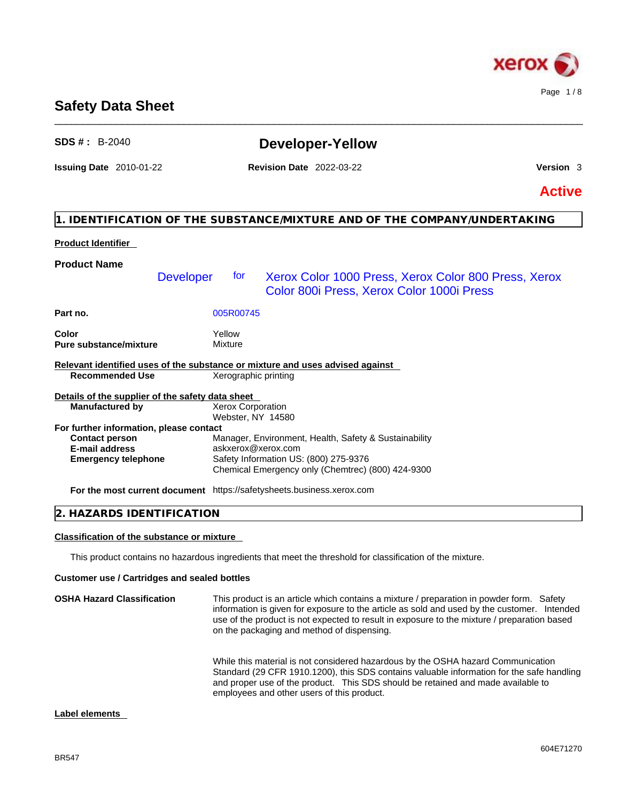

## **Safety Data Sheet**

| $SDS # : B-2040$                                                              |                                               | <b>Developer-Yellow</b>                                                                           |                  |
|-------------------------------------------------------------------------------|-----------------------------------------------|---------------------------------------------------------------------------------------------------|------------------|
| <b>Issuing Date</b> 2010-01-22                                                |                                               | <b>Revision Date 2022-03-22</b>                                                                   | <b>Version</b> 3 |
|                                                                               |                                               |                                                                                                   | <b>Active</b>    |
|                                                                               |                                               | 1. IDENTIFICATION OF THE SUBSTANCE/MIXTURE AND OF THE COMPANY/UNDERTAKING                         |                  |
| <b>Product Identifier</b>                                                     |                                               |                                                                                                   |                  |
| <b>Product Name</b>                                                           |                                               |                                                                                                   |                  |
| <b>Developer</b>                                                              | for                                           | Xerox Color 1000 Press, Xerox Color 800 Press, Xerox<br>Color 800i Press, Xerox Color 1000i Press |                  |
| Part no.                                                                      | 005R00745                                     |                                                                                                   |                  |
| Color<br><b>Pure substance/mixture</b>                                        | Yellow<br><b>Mixture</b>                      |                                                                                                   |                  |
| Relevant identified uses of the substance or mixture and uses advised against |                                               |                                                                                                   |                  |
| <b>Recommended Use</b>                                                        | Xerographic printing                          |                                                                                                   |                  |
| Details of the supplier of the safety data sheet                              |                                               |                                                                                                   |                  |
| <b>Manufactured by</b>                                                        | <b>Xerox Corporation</b><br>Webster, NY 14580 |                                                                                                   |                  |
| For further information, please contact                                       |                                               |                                                                                                   |                  |
| <b>Contact person</b>                                                         |                                               | Manager, Environment, Health, Safety & Sustainability                                             |                  |
| E-mail address                                                                | askxerox@xerox.com                            |                                                                                                   |                  |
| <b>Emergency telephone</b>                                                    |                                               | Safety Information US: (800) 275-9376<br>Chemical Emergency only (Chemtrec) (800) 424-9300        |                  |
| For the most current document https://safetysheets.business.xerox.com         |                                               |                                                                                                   |                  |
| 2. HAZARDS IDENTIFICATION                                                     |                                               |                                                                                                   |                  |

\_\_\_\_\_\_\_\_\_\_\_\_\_\_\_\_\_\_\_\_\_\_\_\_\_\_\_\_\_\_\_\_\_\_\_\_\_\_\_\_\_\_\_\_\_\_\_\_\_\_\_\_\_\_\_\_\_\_\_\_\_\_\_\_\_\_\_\_\_\_\_\_\_\_\_\_\_\_\_\_\_\_\_\_\_\_\_\_\_\_\_\_\_\_

## **Classification of the substance or mixture**

This product contains no hazardous ingredients that meet the threshold for classification of the mixture.

### **Customer use / Cartridges and sealed bottles**

| <b>OSHA Hazard Classification</b> | This product is an article which contains a mixture / preparation in powder form. Safety<br>information is given for exposure to the article as sold and used by the customer. Intended<br>use of the product is not expected to result in exposure to the mixture / preparation based<br>on the packaging and method of dispensing. |
|-----------------------------------|--------------------------------------------------------------------------------------------------------------------------------------------------------------------------------------------------------------------------------------------------------------------------------------------------------------------------------------|
|                                   | While this material is not considered hazardous by the OSHA hazard Communication<br>Standard (29 CFR 1910.1200), this SDS contains valuable information for the safe handling<br>and proper use of the product. This SDS should be retained and made available to<br>employees and other users of this product.                      |

#### **Label elements**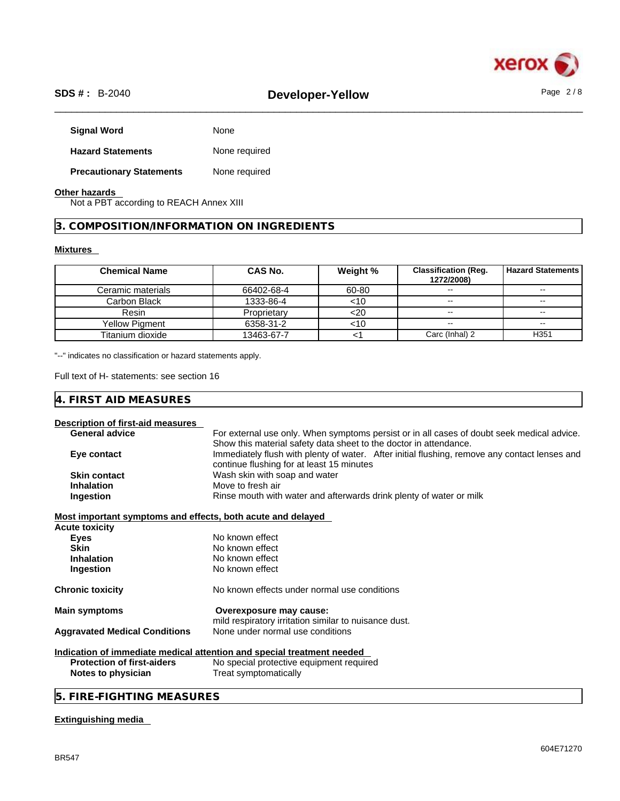

# \_\_\_\_\_\_\_\_\_\_\_\_\_\_\_\_\_\_\_\_\_\_\_\_\_\_\_\_\_\_\_\_\_\_\_\_\_\_\_\_\_\_\_\_\_\_\_\_\_\_\_\_\_\_\_\_\_\_\_\_\_\_\_\_\_\_\_\_\_\_\_\_\_\_\_\_\_\_\_\_\_\_\_\_\_\_\_\_\_\_\_\_\_\_ **SDS # :** B-2040 **Developer-Yellow** Page 2 / 8

| <b>Signal Word</b>              | None          |
|---------------------------------|---------------|
| <b>Hazard Statements</b>        | None required |
| <b>Precautionary Statements</b> | None required |

### **Other hazards**

Not a PBT according to REACH Annex XIII

**3. COMPOSITION/INFORMATION ON INGREDIENTS** 

### **Mixtures**

| <b>Chemical Name</b> | <b>CAS No.</b> | Weight % | <b>Classification (Req.</b><br>1272/2008) | <b>Hazard Statements</b> |
|----------------------|----------------|----------|-------------------------------------------|--------------------------|
| Ceramic materials    | 66402-68-4     | 60-80    | $\sim$ $\sim$                             | $\sim$ $\sim$            |
| Carbon Black         | 1333-86-4      | <10      | $\sim$                                    | $\sim$                   |
| Resin                | Proprietary    | <20      | $\sim$ $\sim$                             | $\sim$ $\sim$            |
| Yellow Pigment       | 6358-31-2      | <10      | $\sim$ $\sim$                             | $\sim$                   |
| Titanium dioxide     | 13463-67-7     |          | Carc (Inhal) 2                            | H <sub>351</sub>         |

"--" indicates no classification or hazard statements apply.

Full text of H- statements: see section 16

| AID MEASURES<br><b>FIRST</b><br>ட |  |
|-----------------------------------|--|
|-----------------------------------|--|

### **Description of first-aid measures**

| <b>General advice</b>                                       | For external use only. When symptoms persist or in all cases of doubt seek medical advice.    |
|-------------------------------------------------------------|-----------------------------------------------------------------------------------------------|
|                                                             | Show this material safety data sheet to the doctor in attendance.                             |
| Eye contact                                                 | Immediately flush with plenty of water. After initial flushing, remove any contact lenses and |
|                                                             | continue flushing for at least 15 minutes                                                     |
| <b>Skin contact</b>                                         | Wash skin with soap and water                                                                 |
| <b>Inhalation</b>                                           | Move to fresh air                                                                             |
| Ingestion                                                   | Rinse mouth with water and afterwards drink plenty of water or milk                           |
| Most important symptoms and effects, both acute and delayed |                                                                                               |
| Acute toxicity                                              |                                                                                               |
| <b>Eyes</b>                                                 | No known effect                                                                               |
| <b>Skin</b>                                                 | No known effect                                                                               |
| <b>Inhalation</b>                                           | No known effect                                                                               |
| Ingestion                                                   | No known effect                                                                               |
| Chronic toxicity                                            | No known effects under normal use conditions                                                  |
| <b>Main symptoms</b>                                        | Overexposure may cause:                                                                       |
|                                                             | mild respiratory irritation similar to nuisance dust.                                         |
| <b>Aggravated Medical Conditions</b>                        | None under normal use conditions                                                              |
|                                                             | Indication of immediate medical attention and special treatment needed                        |
| <b>Protection of first-aiders</b>                           | No special protective equipment required                                                      |
| Notes to physician                                          | Treat symptomatically                                                                         |
|                                                             |                                                                                               |

## **5. FIRE-FIGHTING MEASURES**

#### **Extinguishing media**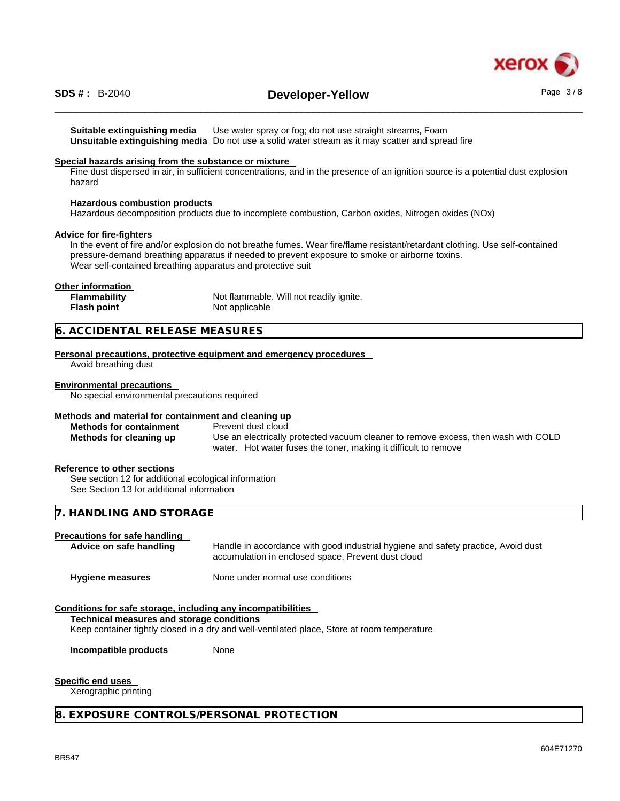

# \_\_\_\_\_\_\_\_\_\_\_\_\_\_\_\_\_\_\_\_\_\_\_\_\_\_\_\_\_\_\_\_\_\_\_\_\_\_\_\_\_\_\_\_\_\_\_\_\_\_\_\_\_\_\_\_\_\_\_\_\_\_\_\_\_\_\_\_\_\_\_\_\_\_\_\_\_\_\_\_\_\_\_\_\_\_\_\_\_\_\_\_\_\_ **SDS # :** B-2040 **Developer-Yellow** Page 3 / 8

**Suitable extinguishing media** Use water spray or fog; do not use straight streams, Foam **Unsuitable extinguishing media** Do not use a solid water stream as it may scatterand spread fire

#### **Special hazards arising from the substance or mixture**

Fine dust dispersed in air, in sufficient concentrations, and in the presence of an ignition source is a potential dust explosion hazard

#### **Hazardous combustion products**

Hazardous decomposition products due to incomplete combustion, Carbon oxides, Nitrogen oxides (NOx)

#### **Advice for fire-fighters**

In the event of fire and/or explosion do not breathe fumes. Wear fire/flame resistant/retardant clothing. Use self-contained pressure-demand breathing apparatus if needed to prevent exposure to smoke or airborne toxins. Wear self-contained breathing apparatus and protective suit

#### **Other information**

| Flammability       | Not flammable. Will not readily ignite. |
|--------------------|-----------------------------------------|
| <b>Flash point</b> | Not applicable                          |

#### **6. ACCIDENTAL RELEASE MEASURES**

**Personal precautions, protective equipment and emergency procedures**

Avoid breathing dust

#### **Environmental precautions**

No special environmental precautions required

#### **Methods and material for containment and cleaning up**

| <b>Methods for containment</b> | Prevent dust cloud                                                                 |
|--------------------------------|------------------------------------------------------------------------------------|
| Methods for cleaning up        | Use an electrically protected vacuum cleaner to remove excess, then wash with COLD |
|                                | water. Hot water fuses the toner, making it difficult to remove                    |

#### **Reference to other sections**

See section 12 for additional ecological information See Section 13 for additional information

#### **7. HANDLING AND STORAGE**

#### **Precautions for safe handling**

**Advice on safe handling** Handle in accordance with good industrial hygiene and safety practice, Avoid dust accumulation in enclosed space, Prevent dust cloud

**Hygiene measures** None under normal use conditions

#### **Conditions for safe storage, including any incompatibilities**

#### **Technical measures and storage conditions**

Keep container tightly closed in a dry and well-ventilated place, Store at room temperature

**Incompatible products** None

#### **Specific end uses**

Xerographic printing

#### **8. EXPOSURE CONTROLS/PERSONAL PROTECTION**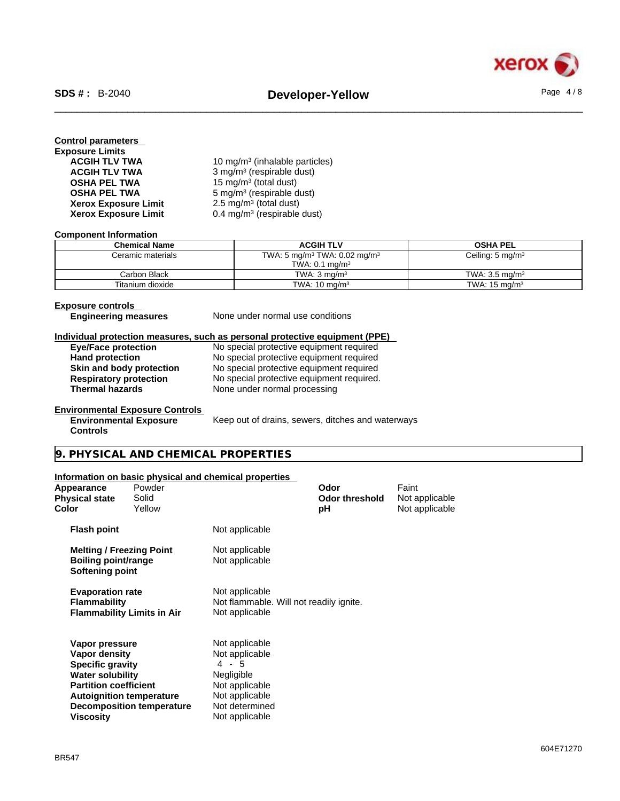

| <b>Control parameters</b>   |                                            |
|-----------------------------|--------------------------------------------|
| <b>Exposure Limits</b>      |                                            |
| <b>ACGIH TLV TWA</b>        | 10 mg/m <sup>3</sup> (inhalable particles) |
| <b>ACGIH TLV TWA</b>        | $3$ mg/m <sup>3</sup> (respirable dust)    |
| <b>OSHA PEL TWA</b>         | 15 mg/m <sup>3</sup> (total dust)          |
| <b>OSHA PEL TWA</b>         | $5 \text{ mg/m}^3$ (respirable dust)       |
| <b>Xerox Exposure Limit</b> | 2.5 mg/m <sup>3</sup> (total dust)         |
| <b>Xerox Exposure Limit</b> | 0.4 mg/m <sup>3</sup> (respirable dust)    |

#### **Component Information**

| <b>Chemical Name</b> | <b>ACGIH TLV</b>                                     | <b>OSHA PEL</b>             |
|----------------------|------------------------------------------------------|-----------------------------|
| Ceramic materials    | TWA: 5 mg/m <sup>3</sup> TWA: 0.02 mg/m <sup>3</sup> | Ceiling: $5 \text{ mg/m}^3$ |
|                      | TWA: $0.1$ mg/m <sup>3</sup>                         |                             |
| Carbon Black         | TWA: $3 \text{ ma/m}^3$                              | TWA: $3.5 \text{ ma/m}^3$   |
| Titanium dioxide     | TWA: $10 \text{ mg/m}^3$                             | TWA: $15 \text{ mg/m}^3$    |

**Exposure controls<br>
Engineering measures** 

None under normal use conditions

#### **Individual protection measures, such as personal protective equipment (PPE)**

| <b>Eye/Face protection</b>    | No special protective equipment required  |
|-------------------------------|-------------------------------------------|
| <b>Hand protection</b>        | No special protective equipment required  |
| Skin and body protection      | No special protective equipment required  |
| <b>Respiratory protection</b> | No special protective equipment required. |
| <b>Thermal hazards</b>        | None under normal processing              |
|                               |                                           |

#### **Environmental Exposure Controls Environmental Exposure**

Keep out of drains, sewers, ditches and waterways

#### **Controls**

**9. PHYSICAL AND CHEMICAL PROPERTIES** 

#### **Information on basic physical and chemical properties**

| Appearance<br>Physical state<br>Color                                                                                                                                        | Powder<br>Solid<br>Yellow                                                                                        |                                                                                                                                   | Odor<br><b>Odor threshold</b><br>рH | Faint<br>Not applicable<br>Not applicable |  |
|------------------------------------------------------------------------------------------------------------------------------------------------------------------------------|------------------------------------------------------------------------------------------------------------------|-----------------------------------------------------------------------------------------------------------------------------------|-------------------------------------|-------------------------------------------|--|
| <b>Flash point</b>                                                                                                                                                           |                                                                                                                  | Not applicable                                                                                                                    |                                     |                                           |  |
| <b>Melting / Freezing Point</b><br><b>Boiling point/range</b><br>Softening point                                                                                             |                                                                                                                  | Not applicable<br>Not applicable                                                                                                  |                                     |                                           |  |
| <b>Evaporation rate</b><br><b>Flammability</b>                                                                                                                               | Not applicable<br>Not flammable. Will not readily ignite.<br><b>Flammability Limits in Air</b><br>Not applicable |                                                                                                                                   |                                     |                                           |  |
| Vapor pressure<br>Vapor density<br><b>Specific gravity</b><br><b>Water solubility</b><br><b>Partition coefficient</b><br><b>Autoignition temperature</b><br><b>Viscosity</b> | <b>Decomposition temperature</b>                                                                                 | Not applicable<br>Not applicable<br>$4 - 5$<br>Negligible<br>Not applicable<br>Not applicable<br>Not determined<br>Not applicable |                                     |                                           |  |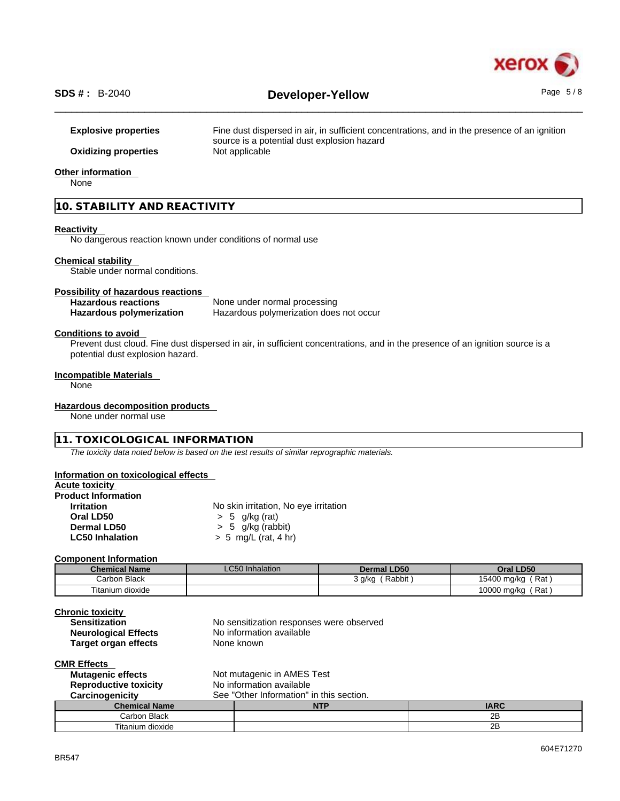

**Explosive properties** Fine dust dispersed in air, in sufficient concentrations, and in the presence of an ignition source is a potential dust explosion hazard **Oxidizing properties** Not applicable

#### **Other information**

None

#### **10. STABILITY AND REACTIVITY**

#### **Reactivity**

No dangerous reaction known under conditions of normal use

#### **Chemical stability**

Stable under normal conditions.

# **Possibility of hazardous reactions**

**Hazardous reactions**<br> **Hazardous polymerization**<br>
Hazardous polymerization<br>
Hazardous polymerization **Hazardous polymerization does not occur** 

#### **Conditions to avoid**

Prevent dust cloud. Fine dust dispersed in air, in sufficient concentrations, and in the presence of an ignition source is a potential dust explosion hazard.

#### **Incompatible Materials**

None

#### **Hazardous decomposition products**

None under normal use

#### **11. TOXICOLOGICAL INFORMATION**

*The toxicity data noted below is based on the test results of similar reprographic materials.* 

#### **Information on toxicological effects**

|  |  | <b>Acute toxicity</b> |  |
|--|--|-----------------------|--|
|--|--|-----------------------|--|

| <b>Product Information</b> |                                       |
|----------------------------|---------------------------------------|
| <b>Irritation</b>          | No skin irritation, No eye irritation |
| Oral LD50                  | $> 5$ g/kg (rat)                      |
| Dermal LD50                | $> 5$ g/kg (rabbit)                   |
| <b>LC50 Inhalation</b>     | $> 5$ mg/L (rat, 4 hr)                |
|                            |                                       |

#### **Component Information**

| <b>Chemical Name</b>   | $\sim$ $\sim$ $\sim$<br>LC50 Inhalation | <b>Dermal LD50</b> | Oral LD50            |
|------------------------|-----------------------------------------|--------------------|----------------------|
| <b>Black</b><br>Carbon |                                         | Rabbit<br>3 g/kg   | ์ Rat<br>15400 mg/kg |
| Fitanium dioxide       |                                         |                    | 10000 mg/kg<br>`Rat  |

| <b>Chronic toxicity</b>     |                                          |
|-----------------------------|------------------------------------------|
| <b>Sensitization</b>        | No sensitization responses were observed |
| <b>Neurological Effects</b> | No information available                 |
| <b>Target organ effects</b> | None known                               |

#### **CMR Effects**

| Not mutagenic in AMES Test<br><b>Mutagenic effects</b>   |                                          |     |             |
|----------------------------------------------------------|------------------------------------------|-----|-------------|
| No information available<br><b>Reproductive toxicity</b> |                                          |     |             |
| <b>Carcinogenicity</b>                                   | See "Other Information" in this section. |     |             |
|                                                          |                                          |     |             |
| <b>Chemical Name</b>                                     |                                          | NTP | <b>IARC</b> |
| Carbon Black                                             |                                          |     | 2B          |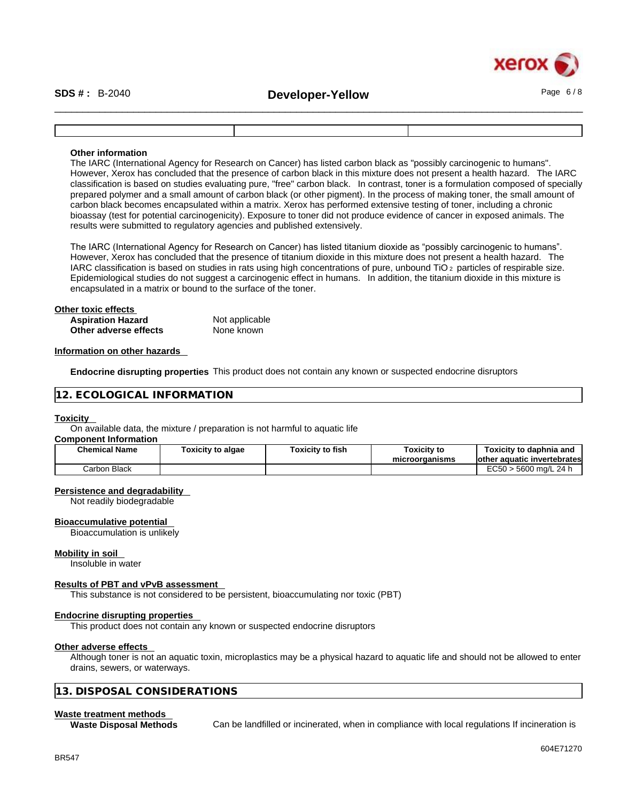

# \_\_\_\_\_\_\_\_\_\_\_\_\_\_\_\_\_\_\_\_\_\_\_\_\_\_\_\_\_\_\_\_\_\_\_\_\_\_\_\_\_\_\_\_\_\_\_\_\_\_\_\_\_\_\_\_\_\_\_\_\_\_\_\_\_\_\_\_\_\_\_\_\_\_\_\_\_\_\_\_\_\_\_\_\_\_\_\_\_\_\_\_\_\_ **SDS # :** B-2040 **Developer-Yellow** Page 6 / 8

#### **Other information**

The IARC (International Agency for Research on Cancer) has listed carbon black as "possibly carcinogenic to humans". However, Xerox has concluded that the presence of carbon black in this mixture does not present a health hazard. The IARC classification is based on studies evaluating pure, "free" carbon black. In contrast, toner is a formulation composed of specially prepared polymer and a small amount of carbon black (or other pigment). In the process of making toner, the small amount of carbon black becomes encapsulated within a matrix. Xerox has performed extensive testing of toner, including a chronic bioassay (test for potential carcinogenicity). Exposure to toner did not produce evidence of cancer in exposed animals. The results were submitted to regulatory agencies and published extensively.

The IARC (International Agency for Research on Cancer) has listed titanium dioxide as "possibly carcinogenic to humans". However, Xerox has concluded that the presence of titanium dioxide in this mixture does not present a health hazard. The IARC classification is based on studies in rats using high concentrations of pure, unbound TiO 2 particles of respirable size. Epidemiological studies do not suggest a carcinogenic effect in humans. In addition, the titanium dioxide in this mixture is encapsulated in a matrix or bound to the surface of the toner.

#### **Other toxic effects**

| <b>Aspiration Hazard</b> | Not applicable |
|--------------------------|----------------|
| Other adverse effects    | None known     |

#### **Information on other hazards**

**Endocrine disrupting properties** This product does not contain any known or suspected endocrine disruptors

#### **12. ECOLOGICAL INFORMATION**

#### **Toxicity**

On available data, the mixture / preparation is not harmful to aquatic life

#### **Component Information**

| <b>Chemical Name</b> | <b>Foxicity to algae</b> | <b>Foxicity to fish</b> | Toxicity to<br>microorganisms | Toxicitv to daphnia and<br>lother aquatic invertebrates |
|----------------------|--------------------------|-------------------------|-------------------------------|---------------------------------------------------------|
| Carbon Black         |                          |                         |                               | EC50<br>) ma/L 24 h<br>5600                             |

#### **Persistence and degradability**

Not readily biodegradable

#### **Bioaccumulative potential**

Bioaccumulation is unlikely

#### **Mobility in soil**

Insoluble in water

#### **Results of PBT and vPvB assessment**

This substance is not considered to be persistent, bioaccumulating nor toxic (PBT)

#### **Endocrine disrupting properties**

This product does not contain any known or suspected endocrine disruptors

#### **Other adverse effects**

Although toner is not an aquatic toxin, microplastics may be a physical hazard to aquatic life and should not be allowed to enter drains, sewers, or waterways.

#### **13. DISPOSAL CONSIDERATIONS**

#### **Waste treatment methods**

**Waste Disposal Methods** Can be landfilled or incinerated, when in compliance with local regulations If incineration is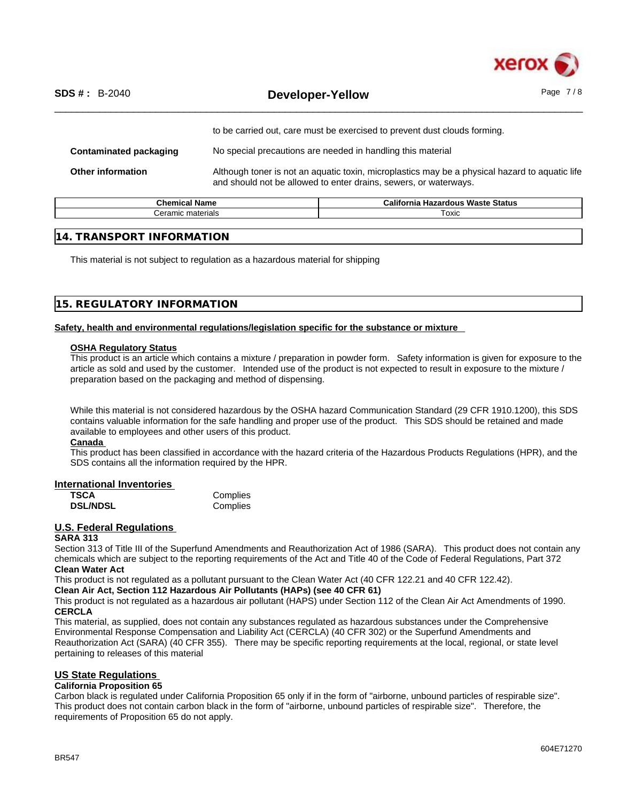

|                               | to be carried out, care must be exercised to prevent dust clouds forming.                                                                                          |
|-------------------------------|--------------------------------------------------------------------------------------------------------------------------------------------------------------------|
| <b>Contaminated packaging</b> | No special precautions are needed in handling this material                                                                                                        |
| <b>Other information</b>      | Although toner is not an aquatic toxin, microplastics may be a physical hazard to aquatic life<br>and should not be allowed to enter drains, sewers, or waterways. |

| $\sim$<br>. .<br>Chemical<br>rvane. | California<br><br>Status<br>Waste<br>Hazardous |
|-------------------------------------|------------------------------------------------|
| .<br>: materials<br>Ceramic<br>.    | Гохіс                                          |
|                                     |                                                |

#### **14. TRANSPORT INFORMATION**

This material is not subject to regulation as a hazardous material for shipping

#### **15. REGULATORY INFORMATION**

#### **Safety, health and environmental regulations/legislation specific for the substance or mixture**

#### **OSHA Regulatory Status**

This product is an article which contains a mixture / preparation in powder form. Safety information is given for exposure to the article as sold and used by the customer. Intended use of the product is not expected to result in exposure to the mixture / preparation based on the packaging and method of dispensing.

While this material is not considered hazardous by the OSHA hazard Communication Standard (29 CFR 1910.1200), this SDS contains valuable information for the safe handling and proper use of the product. This SDS should be retained and made available to employees and other users of this product.

#### **Canada**

This product has been classified in accordance with the hazard criteria of the Hazardous Products Regulations (HPR), and the SDS contains all the information required by the HPR.

#### **International Inventories**

| TSCA            | Complies |
|-----------------|----------|
| <b>DSL/NDSL</b> | Complies |

#### **U.S. Federal Regulations**

#### **SARA 313**

Section 313 of Title III of the Superfund Amendments and Reauthorization Act of 1986 (SARA). This product does not contain any chemicals which are subject to the reporting requirements of the Act and Title 40 of the Code of Federal Regulations, Part 372 **Clean Water Act**

This product is not regulated as a pollutant pursuant to the Clean Water Act (40 CFR 122.21 and 40 CFR 122.42).

#### **Clean Air Act,Section 112 Hazardous Air Pollutants (HAPs) (see 40 CFR 61)**

This product is not regulated as a hazardous air pollutant (HAPS) under Section 112 of the Clean Air Act Amendments of 1990. **CERCLA**

This material, as supplied, does not contain any substances regulated as hazardous substances under the Comprehensive Environmental Response Compensation and Liability Act (CERCLA) (40 CFR 302) or the Superfund Amendments and Reauthorization Act (SARA) (40 CFR 355). There may be specific reporting requirements at the local, regional, or state level pertaining to releases of this material

#### **US State Regulations**

#### **California Proposition 65**

Carbon black is regulated under California Proposition 65 only if in the form of "airborne, unbound particles of respirable size". This product does not contain carbon black in the form of "airborne, unbound particles of respirable size". Therefore, the requirements of Proposition 65 do not apply.